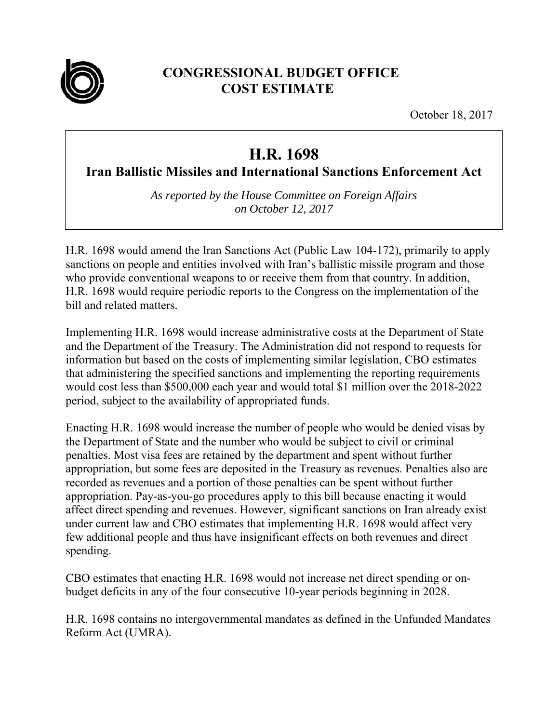

## **CONGRESSIONAL BUDGET OFFICE COST ESTIMATE**

October 18, 2017

## **H.R. 1698**

**Iran Ballistic Missiles and International Sanctions Enforcement Act**

*As reported by the House Committee on Foreign Affairs on October 12, 2017* 

H.R. 1698 would amend the Iran Sanctions Act (Public Law 104-172), primarily to apply sanctions on people and entities involved with Iran's ballistic missile program and those who provide conventional weapons to or receive them from that country. In addition, H.R. 1698 would require periodic reports to the Congress on the implementation of the bill and related matters.

Implementing H.R. 1698 would increase administrative costs at the Department of State and the Department of the Treasury. The Administration did not respond to requests for information but based on the costs of implementing similar legislation, CBO estimates that administering the specified sanctions and implementing the reporting requirements would cost less than \$500,000 each year and would total \$1 million over the 2018-2022 period, subject to the availability of appropriated funds.

Enacting H.R. 1698 would increase the number of people who would be denied visas by the Department of State and the number who would be subject to civil or criminal penalties. Most visa fees are retained by the department and spent without further appropriation, but some fees are deposited in the Treasury as revenues. Penalties also are recorded as revenues and a portion of those penalties can be spent without further appropriation. Pay-as-you-go procedures apply to this bill because enacting it would affect direct spending and revenues. However, significant sanctions on Iran already exist under current law and CBO estimates that implementing H.R. 1698 would affect very few additional people and thus have insignificant effects on both revenues and direct spending.

CBO estimates that enacting H.R. 1698 would not increase net direct spending or onbudget deficits in any of the four consecutive 10-year periods beginning in 2028.

H.R. 1698 contains no intergovernmental mandates as defined in the Unfunded Mandates Reform Act (UMRA).